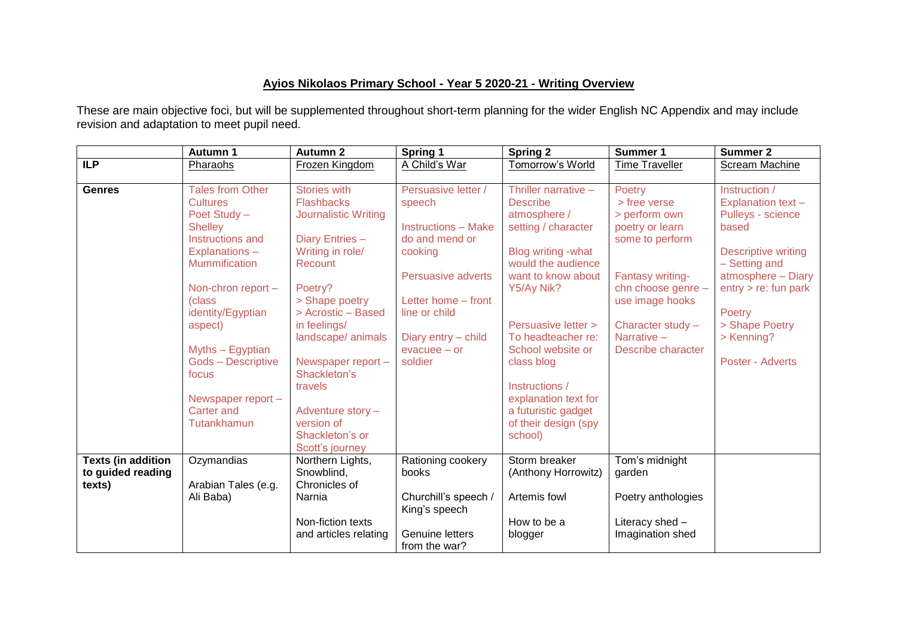## **Ayios Nikolaos Primary School - Year 5 2020-21 - Writing Overview**

These are main objective foci, but will be supplemented throughout short-term planning for the wider English NC Appendix and may include revision and adaptation to meet pupil need.

|                                                          | Autumn 1                                                                                                                                                                  | <b>Autumn 2</b>                                                                                                                                                       | Spring 1                                                                                                                                                      | <b>Spring 2</b>                                                                                                                                                                  | Summer 1                                                                                                                                          | Summer 2                                                                                                                                                       |
|----------------------------------------------------------|---------------------------------------------------------------------------------------------------------------------------------------------------------------------------|-----------------------------------------------------------------------------------------------------------------------------------------------------------------------|---------------------------------------------------------------------------------------------------------------------------------------------------------------|----------------------------------------------------------------------------------------------------------------------------------------------------------------------------------|---------------------------------------------------------------------------------------------------------------------------------------------------|----------------------------------------------------------------------------------------------------------------------------------------------------------------|
| <b>ILP</b>                                               | Pharaohs                                                                                                                                                                  | Frozen Kingdom                                                                                                                                                        | A Child's War                                                                                                                                                 | Tomorrow's World                                                                                                                                                                 | <b>Time Traveller</b>                                                                                                                             | <b>Scream Machine</b>                                                                                                                                          |
| <b>Genres</b>                                            | <b>Tales from Other</b><br><b>Cultures</b><br>Poet Study -<br><b>Shelley</b><br>Instructions and<br>Explanations-<br><b>Mummification</b><br>Non-chron report -<br>(class | <b>Stories with</b><br><b>Flashbacks</b><br>Journalistic Writing<br>Diary Entries -<br>Writing in role/<br>Recount<br>Poetry?<br>> Shape poetry<br>> Acrostic - Based | Persuasive letter /<br>speech<br><b>Instructions - Make</b><br>do and mend or<br>cooking<br><b>Persuasive adverts</b><br>Letter home - front<br>line or child | Thriller narrative -<br><b>Describe</b><br>atmosphere /<br>setting / character<br>Blog writing - what<br>would the audience<br>want to know about<br>Y5/Ay Nik?                  | <b>Poetry</b><br>> free verse<br>> perform own<br>poetry or learn<br>some to perform<br>Fantasy writing-<br>chn choose genre -<br>use image hooks | Instruction /<br>Explanation text -<br>Pulleys - science<br>based<br><b>Descriptive writing</b><br>- Setting and<br>atmosphere - Diary<br>entry > re: fun park |
|                                                          | identity/Egyptian<br>aspect)<br>Myths - Egyptian<br><b>Gods - Descriptive</b><br>focus<br>Newspaper report -<br><b>Carter and</b><br>Tutankhamun                          | in feelings/<br>landscape/ animals<br>Newspaper report -<br>Shackleton's<br>travels<br>Adventure story -<br>version of<br>Shackleton's or<br>Scott's journey          | Diary entry - child<br>$e$ vacuee $-$ or<br>soldier                                                                                                           | Persuasive letter ><br>To headteacher re:<br>School website or<br>class blog<br>Instructions /<br>explanation text for<br>a futuristic gadget<br>of their design (spy<br>school) | Character study -<br>Narrative -<br><b>Describe character</b>                                                                                     | Poetry<br>> Shape Poetry<br>> Kenning?<br>Poster - Adverts                                                                                                     |
| <b>Texts (in addition</b><br>to guided reading<br>texts) | Ozymandias<br>Arabian Tales (e.g.<br>Ali Baba)                                                                                                                            | Northern Lights,<br>Snowblind,<br>Chronicles of<br>Narnia<br>Non-fiction texts<br>and articles relating                                                               | Rationing cookery<br>books<br>Churchill's speech /<br>King's speech<br>Genuine letters<br>from the war?                                                       | Storm breaker<br>(Anthony Horrowitz)<br>Artemis fowl<br>How to be a<br>blogger                                                                                                   | Tom's midnight<br>garden<br>Poetry anthologies<br>Literacy shed -<br>Imagination shed                                                             |                                                                                                                                                                |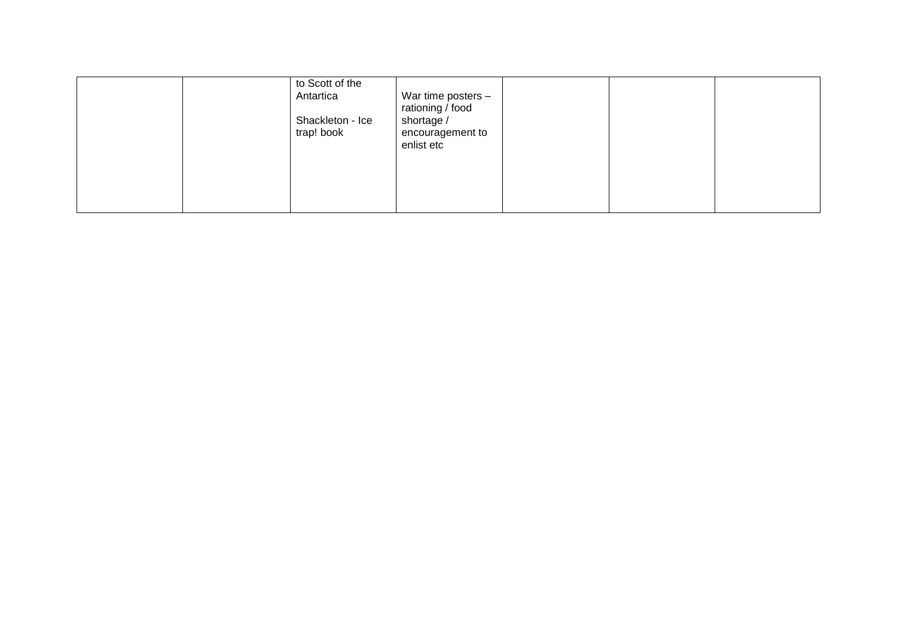|  | to Scott of the<br>Antartica<br>Shackleton - Ice<br>trap! book | War time posters -<br>rationing / food<br>shortage /<br>encouragement to<br>enlist etc |  |  |
|--|----------------------------------------------------------------|----------------------------------------------------------------------------------------|--|--|
|  |                                                                |                                                                                        |  |  |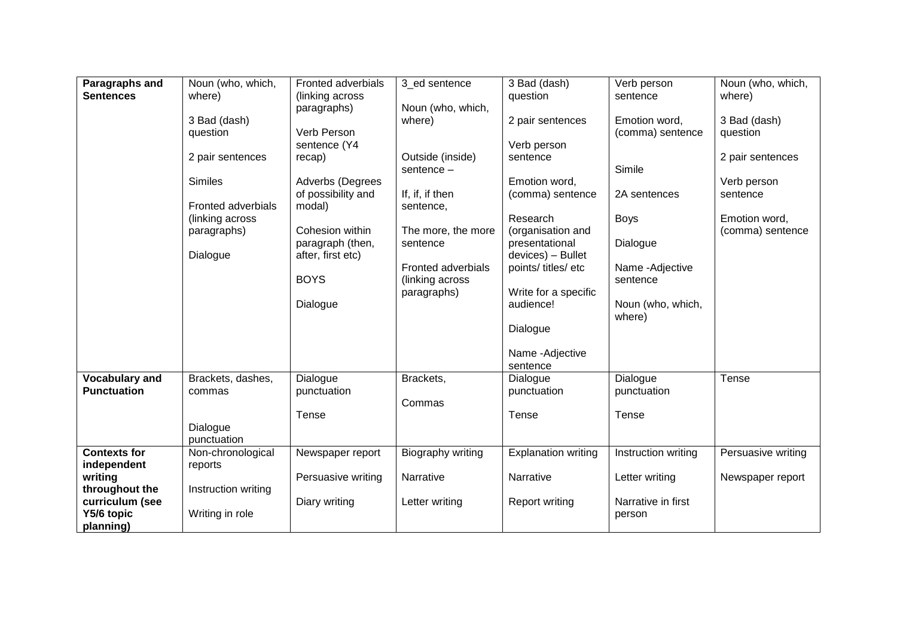| Paragraphs and                | Noun (who, which,         | Fronted adverbials | 3_ed sentence      | 3 Bad (dash)               | Verb person                       | Noun (who, which,        |
|-------------------------------|---------------------------|--------------------|--------------------|----------------------------|-----------------------------------|--------------------------|
| <b>Sentences</b>              | where)                    | (linking across    |                    | question                   | sentence                          | where)                   |
|                               |                           | paragraphs)        | Noun (who, which,  |                            |                                   |                          |
|                               | 3 Bad (dash)<br>question  | Verb Person        | where)             | 2 pair sentences           | Emotion word,<br>(comma) sentence | 3 Bad (dash)<br>question |
|                               |                           | sentence (Y4       |                    | Verb person                |                                   |                          |
|                               | 2 pair sentences          | recap)             | Outside (inside)   | sentence                   |                                   | 2 pair sentences         |
|                               |                           |                    | sentence $-$       |                            | Simile                            |                          |
|                               | <b>Similes</b>            | Adverbs (Degrees   |                    | Emotion word,              |                                   | Verb person              |
|                               |                           | of possibility and | If, if, if then    | (comma) sentence           | 2A sentences                      | sentence                 |
|                               | <b>Fronted adverbials</b> | modal)             | sentence,          |                            |                                   |                          |
|                               | (linking across           |                    |                    | Research                   | Boys                              | Emotion word,            |
|                               | paragraphs)               | Cohesion within    | The more, the more | (organisation and          |                                   | (comma) sentence         |
|                               |                           | paragraph (then,   | sentence           | presentational             | Dialogue                          |                          |
|                               | Dialogue                  | after, first etc)  |                    | devices) - Bullet          |                                   |                          |
|                               |                           |                    | Fronted adverbials | points/ titles/ etc        | Name - Adjective                  |                          |
|                               |                           | <b>BOYS</b>        | (linking across    |                            | sentence                          |                          |
|                               |                           |                    | paragraphs)        | Write for a specific       |                                   |                          |
|                               |                           | Dialogue           |                    | audience!                  | Noun (who, which,                 |                          |
|                               |                           |                    |                    |                            | where)                            |                          |
|                               |                           |                    |                    | Dialogue                   |                                   |                          |
|                               |                           |                    |                    | Name - Adjective           |                                   |                          |
|                               |                           |                    |                    | sentence                   |                                   |                          |
| Vocabulary and                | Brackets, dashes,         | Dialogue           | Brackets,          | Dialogue                   | Dialogue                          | Tense                    |
| <b>Punctuation</b>            | commas                    | punctuation        |                    | punctuation                | punctuation                       |                          |
|                               |                           |                    | Commas             |                            |                                   |                          |
|                               |                           | Tense              |                    | Tense                      | Tense                             |                          |
|                               | Dialogue                  |                    |                    |                            |                                   |                          |
|                               | punctuation               |                    |                    |                            |                                   |                          |
| <b>Contexts for</b>           | Non-chronological         | Newspaper report   | Biography writing  | <b>Explanation writing</b> | Instruction writing               | Persuasive writing       |
| independent                   | reports                   |                    |                    |                            |                                   |                          |
| writing                       |                           | Persuasive writing | Narrative          | Narrative                  | Letter writing                    | Newspaper report         |
| throughout the                | Instruction writing       | Diary writing      |                    | Report writing             | Narrative in first                |                          |
| curriculum (see<br>Y5/6 topic | Writing in role           |                    | Letter writing     |                            | person                            |                          |
| planning)                     |                           |                    |                    |                            |                                   |                          |